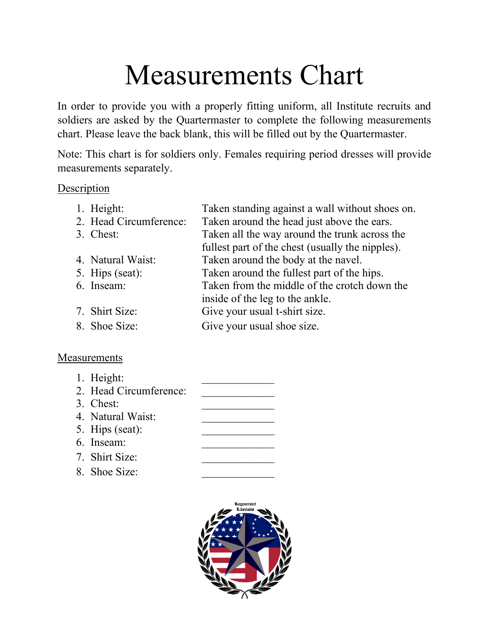## Measurements Chart

In order to provide you with a properly fitting uniform, all Institute recruits and soldiers are asked by the Quartermaster to complete the following measurements chart. Please leave the back blank, this will be filled out by the Quartermaster.

Note: This chart is for soldiers only. Females requiring period dresses will provide measurements separately.

## Description

| 1. Height:             | Taken standing against a wall without shoes on.  |
|------------------------|--------------------------------------------------|
| 2. Head Circumference: | Taken around the head just above the ears.       |
| 3. Chest:              | Taken all the way around the trunk across the    |
|                        | fullest part of the chest (usually the nipples). |
| 4. Natural Waist:      | Taken around the body at the navel.              |
| 5. Hips (seat):        | Taken around the fullest part of the hips.       |
| 6. Inseam:             | Taken from the middle of the crotch down the     |
|                        | inside of the leg to the ankle.                  |
| 7. Shirt Size:         | Give your usual t-shirt size.                    |
| 8. Shoe Size:          | Give your usual shoe size.                       |
|                        |                                                  |

## **Measurements**

| 1. Height:             |  |
|------------------------|--|
| 2. Head Circumference: |  |
| 3. Chest:              |  |
| 4. Natural Waist:      |  |
| 5. Hips (seat):        |  |
| 6. Inseam:             |  |
| 7. Shirt Size:         |  |
| 8. Shoe Size:          |  |